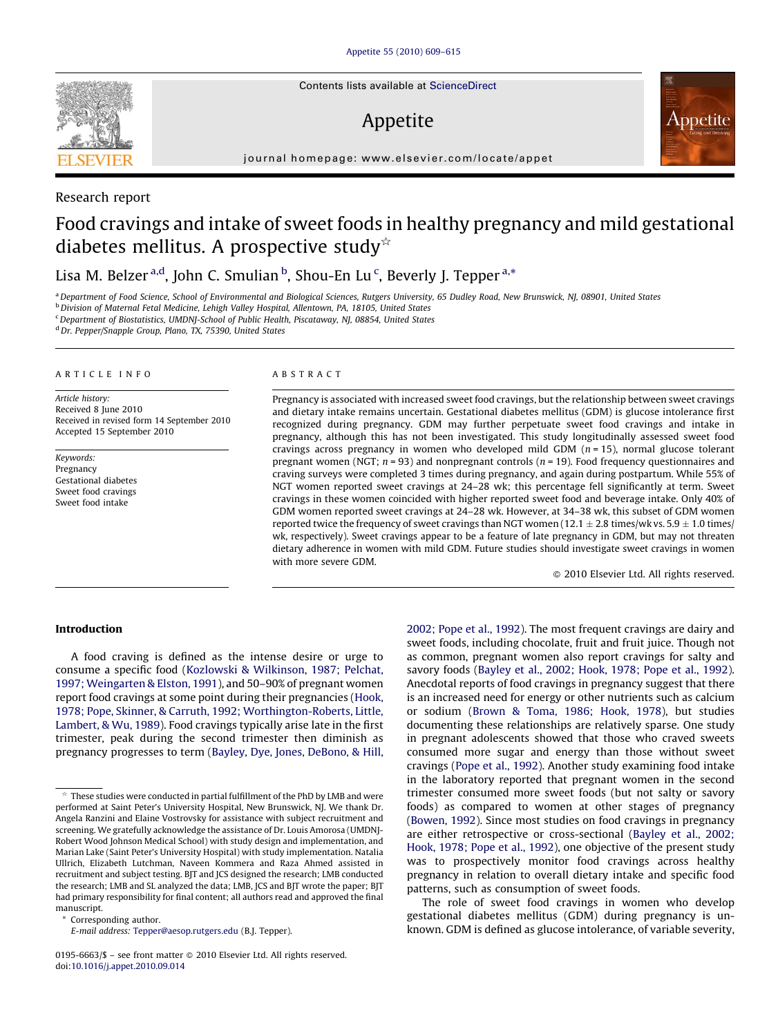Contents lists available at [ScienceDirect](http://www.sciencedirect.com/science/journal/01956663)

## Appetite



journal homepage: www.elsevier.com/locate/appet

### Research report

### Food cravings and intake of sweet foods in healthy pregnancy and mild gestational diabetes mellitus. A prospective study<sup>\*</sup>

Lisa M. Belzer <sup>a,d</sup>, John C. Smulian <sup>b</sup>, Shou-En Lu <sup>c</sup>, Beverly J. Tepper <sup>a,</sup>\*

a Department of Food Science, School of Environmental and Biological Sciences, Rutgers University, 65 Dudley Road, New Brunswick, NJ, 08901, United States

b Division of Maternal Fetal Medicine, Lehigh Valley Hospital, Allentown, PA, 18105, United States

 $c$  Department of Biostatistics, UMDNJ-School of Public Health, Piscataway, NJ, 08854, United States

<sup>d</sup> Dr. Pepper/Snapple Group, Plano, TX, 75390, United States

#### ARTICLE INFO

Article history: Received 8 June 2010 Received in revised form 14 September 2010 Accepted 15 September 2010

Keywords: Pregnancy Gestational diabetes Sweet food cravings Sweet food intake

#### ABSTRACT

Pregnancy is associated with increased sweet food cravings, but the relationship between sweet cravings and dietary intake remains uncertain. Gestational diabetes mellitus (GDM) is glucose intolerance first recognized during pregnancy. GDM may further perpetuate sweet food cravings and intake in pregnancy, although this has not been investigated. This study longitudinally assessed sweet food cravings across pregnancy in women who developed mild GDM  $(n = 15)$ , normal glucose tolerant pregnant women (NGT;  $n = 93$ ) and nonpregnant controls ( $n = 19$ ). Food frequency questionnaires and craving surveys were completed 3 times during pregnancy, and again during postpartum. While 55% of NGT women reported sweet cravings at 24–28 wk; this percentage fell significantly at term. Sweet cravings in these women coincided with higher reported sweet food and beverage intake. Only 40% of GDM women reported sweet cravings at 24–28 wk. However, at 34–38 wk, this subset of GDM women reported twice the frequency of sweet cravings than NGT women (12.1  $\pm$  2.8 times/wk vs. 5.9  $\pm$  1.0 times/ wk, respectively). Sweet cravings appear to be a feature of late pregnancy in GDM, but may not threaten dietary adherence in women with mild GDM. Future studies should investigate sweet cravings in women with more severe GDM.

- 2010 Elsevier Ltd. All rights reserved.

#### Introduction

A food craving is defined as the intense desire or urge to consume a specific food ([Kozlowski & Wilkinson, 1987; Pelchat,](#page--1-0) [1997; Weingarten & Elston, 1991\)](#page--1-0), and 50–90% of pregnant women report food cravings at some point during their pregnancies ([Hook,](#page--1-0) [1978; Pope, Skinner, & Carruth, 1992; Worthington-Roberts, Little,](#page--1-0) [Lambert, & Wu, 1989](#page--1-0)). Food cravings typically arise late in the first trimester, peak during the second trimester then diminish as pregnancy progresses to term [\(Bayley, Dye, Jones, DeBono, & Hill,](#page--1-0)

Corresponding author.

E-mail address: [Tepper@aesop.rutgers.edu](mailto:Tepper@aesop.rutgers.edu) (B.J. Tepper).

0195-6663/\$ – see front matter © 2010 Elsevier Ltd. All rights reserved. doi:[10.1016/j.appet.2010.09.014](http://dx.doi.org/10.1016/j.appet.2010.09.014)

[2002; Pope et al., 1992](#page--1-0)). The most frequent cravings are dairy and sweet foods, including chocolate, fruit and fruit juice. Though not as common, pregnant women also report cravings for salty and savory foods [\(Bayley et al., 2002; Hook, 1978; Pope et al., 1992\)](#page--1-0). Anecdotal reports of food cravings in pregnancy suggest that there is an increased need for energy or other nutrients such as calcium or sodium ([Brown & Toma, 1986; Hook, 1978\)](#page--1-0), but studies documenting these relationships are relatively sparse. One study in pregnant adolescents showed that those who craved sweets consumed more sugar and energy than those without sweet cravings ([Pope et al., 1992](#page--1-0)). Another study examining food intake in the laboratory reported that pregnant women in the second trimester consumed more sweet foods (but not salty or savory foods) as compared to women at other stages of pregnancy ([Bowen, 1992](#page--1-0)). Since most studies on food cravings in pregnancy are either retrospective or cross-sectional ([Bayley et al., 2002;](#page--1-0) [Hook, 1978; Pope et al., 1992](#page--1-0)), one objective of the present study was to prospectively monitor food cravings across healthy pregnancy in relation to overall dietary intake and specific food patterns, such as consumption of sweet foods.

The role of sweet food cravings in women who develop gestational diabetes mellitus (GDM) during pregnancy is unknown. GDM is defined as glucose intolerance, of variable severity,



These studies were conducted in partial fulfillment of the PhD by LMB and were performed at Saint Peter's University Hospital, New Brunswick, NJ. We thank Dr. Angela Ranzini and Elaine Vostrovsky for assistance with subject recruitment and screening. We gratefully acknowledge the assistance of Dr. Louis Amorosa (UMDNJ-Robert Wood Johnson Medical School) with study design and implementation, and Marian Lake (Saint Peter's University Hospital) with study implementation. Natalia Ullrich, Elizabeth Lutchman, Naveen Kommera and Raza Ahmed assisted in recruitment and subject testing. BJT and JCS designed the research; LMB conducted the research; LMB and SL analyzed the data; LMB, JCS and BJT wrote the paper; BJT had primary responsibility for final content; all authors read and approved the final manuscript.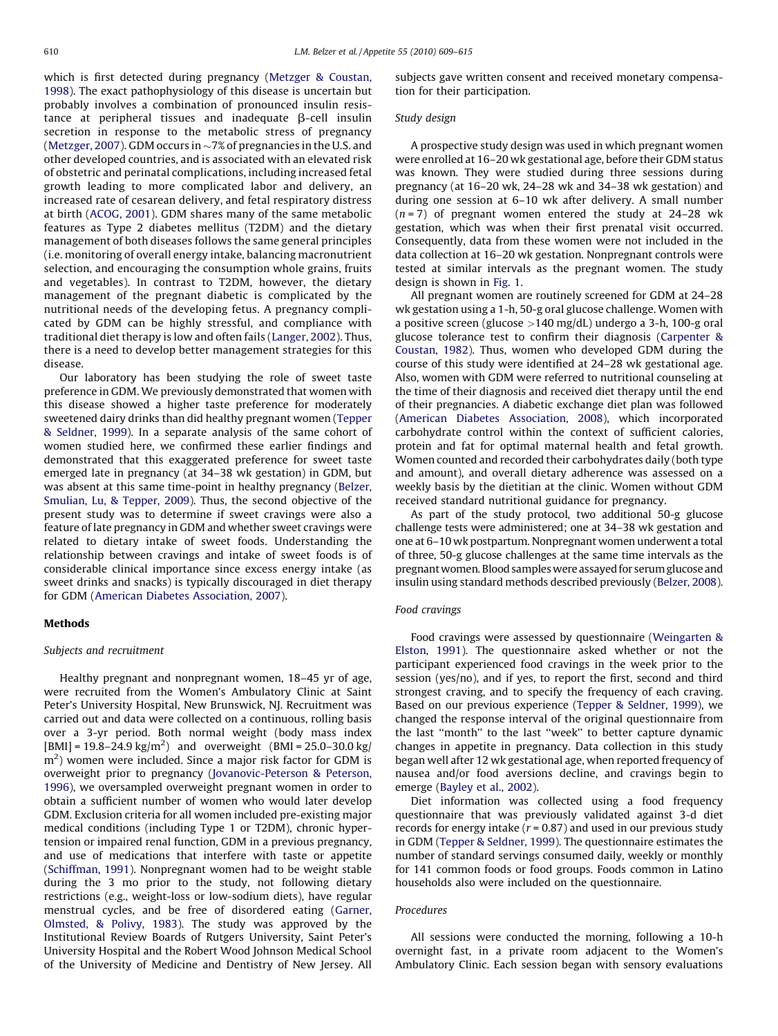which is first detected during pregnancy [\(Metzger & Coustan,](#page--1-0) [1998](#page--1-0)). The exact pathophysiology of this disease is uncertain but probably involves a combination of pronounced insulin resistance at peripheral tissues and inadequate  $\beta$ -cell insulin secretion in response to the metabolic stress of pregnancy ([Metzger, 2007](#page--1-0)). GDM occurs in  $\sim$  7% of pregnancies in the U.S. and other developed countries, and is associated with an elevated risk of obstetric and perinatal complications, including increased fetal growth leading to more complicated labor and delivery, an increased rate of cesarean delivery, and fetal respiratory distress at birth ([ACOG, 2001\)](#page--1-0). GDM shares many of the same metabolic features as Type 2 diabetes mellitus (T2DM) and the dietary management of both diseases follows the same general principles (i.e. monitoring of overall energy intake, balancing macronutrient selection, and encouraging the consumption whole grains, fruits and vegetables). In contrast to T2DM, however, the dietary management of the pregnant diabetic is complicated by the nutritional needs of the developing fetus. A pregnancy complicated by GDM can be highly stressful, and compliance with traditional diet therapy is low and often fails ([Langer, 2002](#page--1-0)). Thus, there is a need to develop better management strategies for this disease.

Our laboratory has been studying the role of sweet taste preference in GDM. We previously demonstrated that women with this disease showed a higher taste preference for moderately sweetened dairy drinks than did healthy pregnant women [\(Tepper](#page--1-0) [& Seldner, 1999](#page--1-0)). In a separate analysis of the same cohort of women studied here, we confirmed these earlier findings and demonstrated that this exaggerated preference for sweet taste emerged late in pregnancy (at 34–38 wk gestation) in GDM, but was absent at this same time-point in healthy pregnancy [\(Belzer,](#page--1-0) [Smulian, Lu, & Tepper, 2009](#page--1-0)). Thus, the second objective of the present study was to determine if sweet cravings were also a feature of late pregnancy in GDM and whether sweet cravings were related to dietary intake of sweet foods. Understanding the relationship between cravings and intake of sweet foods is of considerable clinical importance since excess energy intake (as sweet drinks and snacks) is typically discouraged in diet therapy for GDM ([American Diabetes Association, 2007](#page--1-0)).

#### **Methods**

#### Subjects and recruitment

Healthy pregnant and nonpregnant women, 18–45 yr of age, were recruited from the Women's Ambulatory Clinic at Saint Peter's University Hospital, New Brunswick, NJ. Recruitment was carried out and data were collected on a continuous, rolling basis over a 3-yr period. Both normal weight (body mass index  $[BMI] = 19.8 - 24.9 \text{ kg/m}^2$  and overweight  $(BMI = 25.0 - 30.0 \text{ kg})$  $\rm m^2)$  women were included. Since a major risk factor for GDM is overweight prior to pregnancy ([Jovanovic-Peterson & Peterson,](#page--1-0) [1996](#page--1-0)), we oversampled overweight pregnant women in order to obtain a sufficient number of women who would later develop GDM. Exclusion criteria for all women included pre-existing major medical conditions (including Type 1 or T2DM), chronic hypertension or impaired renal function, GDM in a previous pregnancy, and use of medications that interfere with taste or appetite ([Schiffman, 1991](#page--1-0)). Nonpregnant women had to be weight stable during the 3 mo prior to the study, not following dietary restrictions (e.g., weight-loss or low-sodium diets), have regular menstrual cycles, and be free of disordered eating ([Garner,](#page--1-0) [Olmsted, & Polivy, 1983](#page--1-0)). The study was approved by the Institutional Review Boards of Rutgers University, Saint Peter's University Hospital and the Robert Wood Johnson Medical School of the University of Medicine and Dentistry of New Jersey. All subjects gave written consent and received monetary compensation for their participation.

#### Study design

A prospective study design was used in which pregnant women were enrolled at 16–20 wk gestational age, before their GDM status was known. They were studied during three sessions during pregnancy (at 16–20 wk, 24–28 wk and 34–38 wk gestation) and during one session at 6–10 wk after delivery. A small number  $(n = 7)$  of pregnant women entered the study at 24–28 wk gestation, which was when their first prenatal visit occurred. Consequently, data from these women were not included in the data collection at 16–20 wk gestation. Nonpregnant controls were tested at similar intervals as the pregnant women. The study design is shown in [Fig. 1.](#page--1-0)

All pregnant women are routinely screened for GDM at 24–28 wk gestation using a 1-h, 50-g oral glucose challenge. Women with a positive screen (glucose >140 mg/dL) undergo a 3-h, 100-g oral glucose tolerance test to confirm their diagnosis ([Carpenter &](#page--1-0) [Coustan, 1982\)](#page--1-0). Thus, women who developed GDM during the course of this study were identified at 24–28 wk gestational age. Also, women with GDM were referred to nutritional counseling at the time of their diagnosis and received diet therapy until the end of their pregnancies. A diabetic exchange diet plan was followed ([American Diabetes Association, 2008\)](#page--1-0), which incorporated carbohydrate control within the context of sufficient calories, protein and fat for optimal maternal health and fetal growth. Women counted and recorded their carbohydrates daily (both type and amount), and overall dietary adherence was assessed on a weekly basis by the dietitian at the clinic. Women without GDM received standard nutritional guidance for pregnancy.

As part of the study protocol, two additional 50-g glucose challenge tests were administered; one at 34–38 wk gestation and one at 6–10 wk postpartum. Nonpregnant women underwent a total of three, 50-g glucose challenges at the same time intervals as the pregnant women. Blood samples were assayed for serum glucose and insulin using standard methods described previously [\(Belzer, 2008\)](#page--1-0).

#### Food cravings

Food cravings were assessed by questionnaire ([Weingarten &](#page--1-0) [Elston, 1991](#page--1-0)). The questionnaire asked whether or not the participant experienced food cravings in the week prior to the session (yes/no), and if yes, to report the first, second and third strongest craving, and to specify the frequency of each craving. Based on our previous experience ([Tepper & Seldner, 1999](#page--1-0)), we changed the response interval of the original questionnaire from the last ''month'' to the last ''week'' to better capture dynamic changes in appetite in pregnancy. Data collection in this study began well after 12 wk gestational age, when reported frequency of nausea and/or food aversions decline, and cravings begin to emerge [\(Bayley et al., 2002\)](#page--1-0).

Diet information was collected using a food frequency questionnaire that was previously validated against 3-d diet records for energy intake ( $r = 0.87$ ) and used in our previous study in GDM ([Tepper & Seldner, 1999](#page--1-0)). The questionnaire estimates the number of standard servings consumed daily, weekly or monthly for 141 common foods or food groups. Foods common in Latino households also were included on the questionnaire.

#### Procedures

All sessions were conducted the morning, following a 10-h overnight fast, in a private room adjacent to the Women's Ambulatory Clinic. Each session began with sensory evaluations